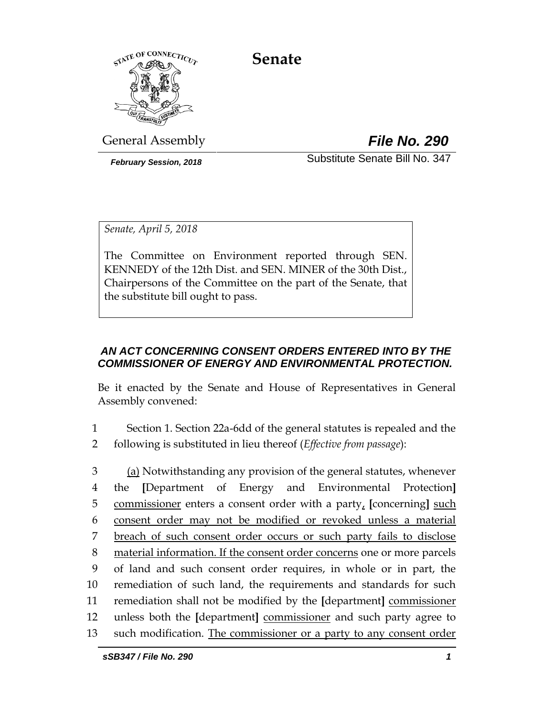**Senate**



General Assembly *File No. 290*

*February Session, 2018* Substitute Senate Bill No. 347

*Senate, April 5, 2018*

The Committee on Environment reported through SEN. KENNEDY of the 12th Dist. and SEN. MINER of the 30th Dist., Chairpersons of the Committee on the part of the Senate, that the substitute bill ought to pass.

# *AN ACT CONCERNING CONSENT ORDERS ENTERED INTO BY THE COMMISSIONER OF ENERGY AND ENVIRONMENTAL PROTECTION.*

Be it enacted by the Senate and House of Representatives in General Assembly convened:

- 1 Section 1. Section 22a-6dd of the general statutes is repealed and the 2 following is substituted in lieu thereof (*Effective from passage*):
- 3 (a) Notwithstanding any provision of the general statutes, whenever 4 the **[**Department of Energy and Environmental Protection**]** 5 commissioner enters a consent order with a party, **[**concerning**]** such 6 consent order may not be modified or revoked unless a material 7 breach of such consent order occurs or such party fails to disclose 8 material information. If the consent order concerns one or more parcels 9 of land and such consent order requires, in whole or in part, the 10 remediation of such land, the requirements and standards for such 11 remediation shall not be modified by the **[**department**]** commissioner 12 unless both the **[**department**]** commissioner and such party agree to 13 such modification. The commissioner or a party to any consent order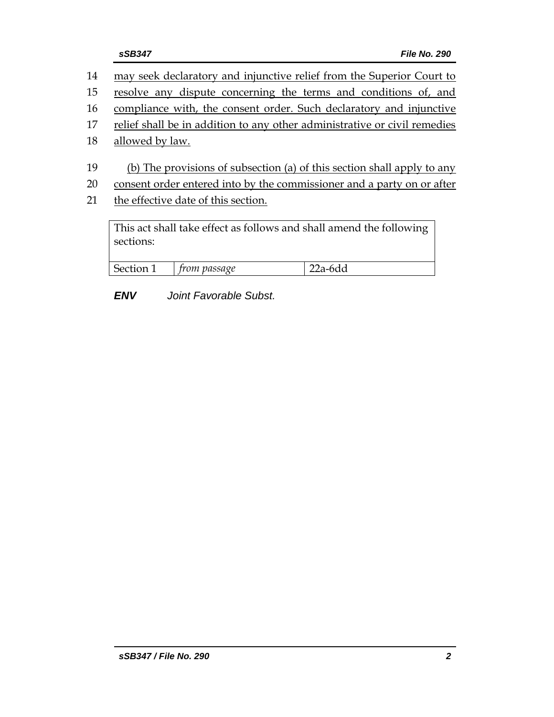- 14 may seek declaratory and injunctive relief from the Superior Court to
- 15 resolve any dispute concerning the terms and conditions of, and
- 16 compliance with, the consent order. Such declaratory and injunctive
- 17 relief shall be in addition to any other administrative or civil remedies
- 18 allowed by law.
- 19 (b) The provisions of subsection (a) of this section shall apply to any
- 20 consent order entered into by the commissioner and a party on or after
- 21 the effective date of this section.

This act shall take effect as follows and shall amend the following sections:

| Section 1 | trom passage | -6dd |
|-----------|--------------|------|
|           |              |      |

# *ENV Joint Favorable Subst.*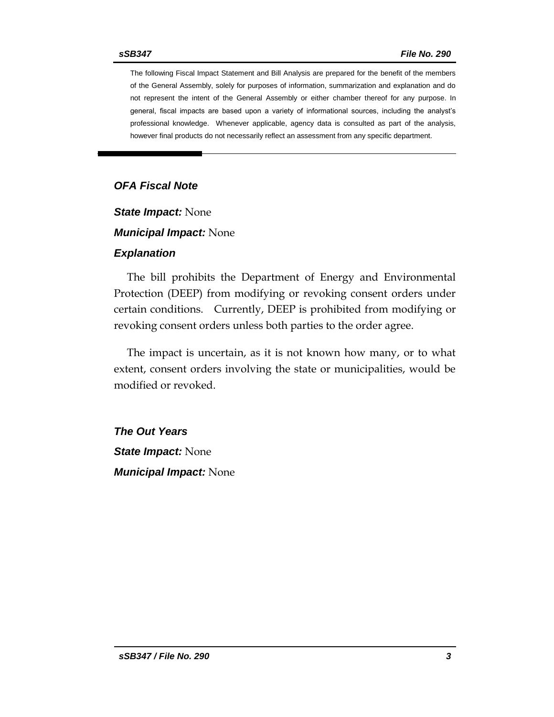The following Fiscal Impact Statement and Bill Analysis are prepared for the benefit of the members of the General Assembly, solely for purposes of information, summarization and explanation and do not represent the intent of the General Assembly or either chamber thereof for any purpose. In general, fiscal impacts are based upon a variety of informational sources, including the analyst's professional knowledge. Whenever applicable, agency data is consulted as part of the analysis, however final products do not necessarily reflect an assessment from any specific department.

#### *OFA Fiscal Note*

*State Impact:* None

*Municipal Impact:* None

#### *Explanation*

The bill prohibits the Department of Energy and Environmental Protection (DEEP) from modifying or revoking consent orders under certain conditions. Currently, DEEP is prohibited from modifying or revoking consent orders unless both parties to the order agree.

The impact is uncertain, as it is not known how many, or to what extent, consent orders involving the state or municipalities, would be modified or revoked.

*The Out Years State Impact:* None *Municipal Impact:* None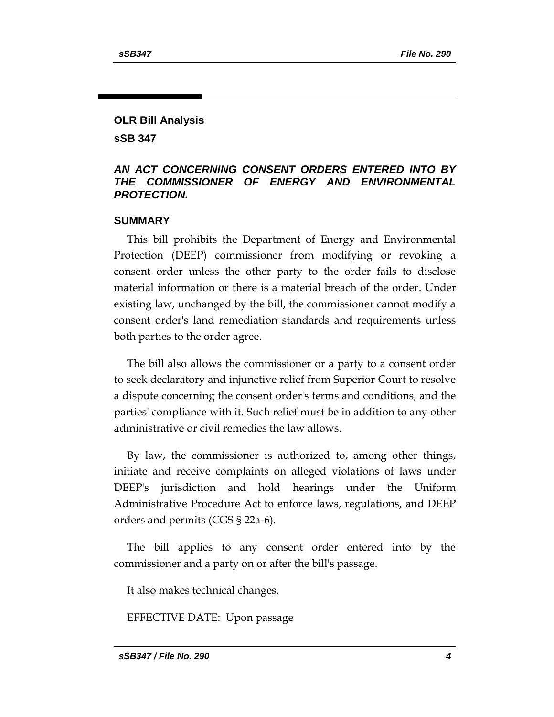## **OLR Bill Analysis sSB 347**

### *AN ACT CONCERNING CONSENT ORDERS ENTERED INTO BY THE COMMISSIONER OF ENERGY AND ENVIRONMENTAL PROTECTION.*

#### **SUMMARY**

This bill prohibits the Department of Energy and Environmental Protection (DEEP) commissioner from modifying or revoking a consent order unless the other party to the order fails to disclose material information or there is a material breach of the order. Under existing law, unchanged by the bill, the commissioner cannot modify a consent order's land remediation standards and requirements unless both parties to the order agree.

The bill also allows the commissioner or a party to a consent order to seek declaratory and injunctive relief from Superior Court to resolve a dispute concerning the consent order's terms and conditions, and the parties' compliance with it. Such relief must be in addition to any other administrative or civil remedies the law allows.

By law, the commissioner is authorized to, among other things, initiate and receive complaints on alleged violations of laws under DEEP's jurisdiction and hold hearings under the Uniform Administrative Procedure Act to enforce laws, regulations, and DEEP orders and permits (CGS § 22a-6).

The bill applies to any consent order entered into by the commissioner and a party on or after the bill's passage.

It also makes technical changes.

EFFECTIVE DATE: Upon passage